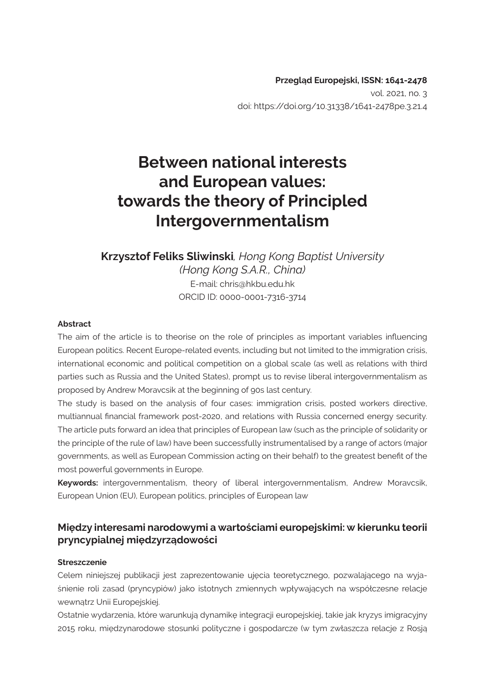# **Between national interests and European values: towards the theory of Principled Intergovernmentalism**

# **Krzysztof Feliks Sliwinski***, Hong Kong Baptist University (Hong Kong S.A.R., China)* E-mail: chris@hkbu.edu.hk ORCID ID: 0000-0001-7316-3714

#### **Abstract**

The aim of the article is to theorise on the role of principles as important variables influencing European politics. Recent Europe-related events, including but not limited to the immigration crisis, international economic and political competition on a global scale (as well as relations with third parties such as Russia and the United States), prompt us to revise liberal intergovernmentalism as proposed by Andrew Moravcsik at the beginning of 90s last century.

The study is based on the analysis of four cases: immigration crisis, posted workers directive, multiannual financial framework post-2020, and relations with Russia concerned energy security. The article puts forward an idea that principles of European law (such as the principle of solidarity or the principle of the rule of law) have been successfully instrumentalised by a range of actors (major governments, as well as European Commission acting on their behalf) to the greatest benefit of the most powerful governments in Europe.

**Keywords:** intergovernmentalism, theory of liberal intergovernmentalism, Andrew Moravcsik, European Union (EU), European politics, principles of European law

### **Między interesami narodowymi a wartościami europejskimi: w kierunku teorii pryncypialnej międzyrządowości**

#### **Streszczenie**

Celem niniejszej publikacji jest zaprezentowanie ujęcia teoretycznego, pozwalającego na wyjaśnienie roli zasad (pryncypiów) jako istotnych zmiennych wpływających na współczesne relacje wewnątrz Unii Europejskiej.

Ostatnie wydarzenia, które warunkują dynamikę integracji europejskiej, takie jak kryzys imigracyjny 2015 roku, międzynarodowe stosunki polityczne i gospodarcze (w tym zwłaszcza relacje z Rosją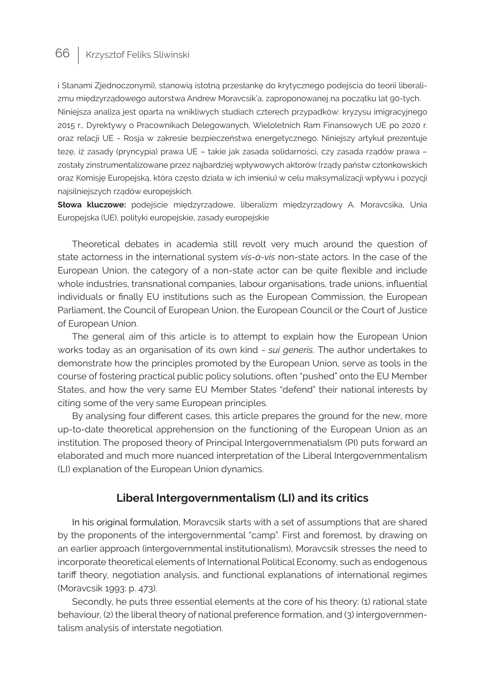i Stanami Zjednoczonymi), stanowią istotną przesłankę do krytycznego podejścia do teorii liberalizmu międzyrządowego autorstwa Andrew Moravcsik'a, zaproponowanej na początku lat 90-tych. Niniejsza analiza jest oparta na wnikliwych studiach czterech przypadków: kryzysu imigracyjnego 2015 r., Dyrektywy o Pracownikach Delegowanych, Wieloletnich Ram Finansowych UE po 2020 r. oraz relacji UE - Rosja w zakresie bezpieczeństwa energetycznego. Niniejszy artykuł prezentuje tezę, iż zasady (pryncypia) prawa UE – takie jak zasada solidarności, czy zasada rządów prawa – zostały zinstrumentalizowane przez najbardziej wpływowych aktorów (rządy państw członkowskich oraz Komisję Europejską, która często działa w ich imieniu) w celu maksymalizacji wpływu i pozycji najsilniejszych rządów europejskich.

**Słowa kluczowe:** podejście międzyrządowe, liberalizm międzyrządowy A. Moravcsika, Unia Europejska (UE), polityki europejskie, zasady europejskie

Theoretical debates in academia still revolt very much around the question of state actorness in the international system *vis-à-vis* non-state actors. In the case of the European Union, the category of a non-state actor can be quite flexible and include whole industries, transnational companies, labour organisations, trade unions, influential individuals or finally EU institutions such as the European Commission, the European Parliament, the Council of European Union, the European Council or the Court of Justice of European Union.

The general aim of this article is to attempt to explain how the European Union works today as an organisation of its own kind - *sui generis.* The author undertakes to demonstrate how the principles promoted by the European Union, serve as tools in the course of fostering practical public policy solutions, often "pushed" onto the EU Member States, and how the very same EU Member States "defend" their national interests by citing some of the very same European principles.

By analysing four different cases, this article prepares the ground for the new, more up-to-date theoretical apprehension on the functioning of the European Union as an institution. The proposed theory of Principal Intergovernmenatialsm (PI) puts forward an elaborated and much more nuanced interpretation of the Liberal Intergovernmentalism (LI) explanation of the European Union dynamics.

### **Liberal Intergovernmentalism (LI) and its critics**

In his original formulation, Moravcsik starts with a set of assumptions that are shared by the proponents of the intergovernmental "camp". First and foremost, by drawing on an earlier approach (intergovernmental institutionalism), Moravcsik stresses the need to incorporate theoretical elements of International Political Economy, such as endogenous tariff theory, negotiation analysis, and functional explanations of international regimes (Moravcsik 1993: p. 473).

Secondly, he puts three essential elements at the core of his theory: (1) rational state behaviour, (2) the liberal theory of national preference formation, and (3) intergovernmentalism analysis of interstate negotiation.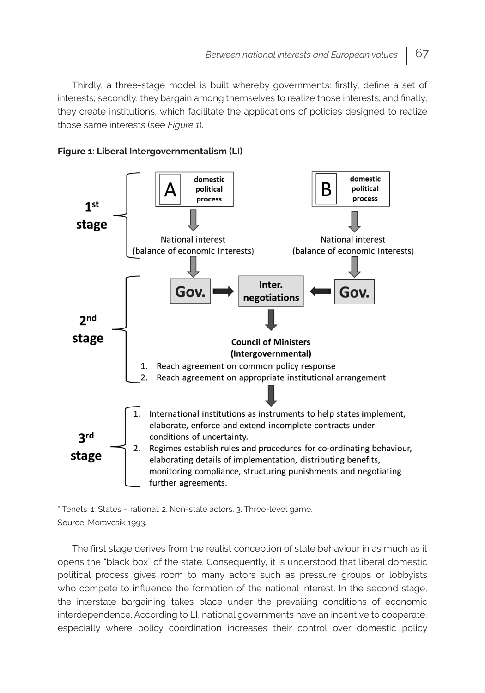Thirdly, a three-stage model is built whereby governments: firstly, define a set of interests; secondly, they bargain among themselves to realize those interests; and finally, they create institutions, which facilitate the applications of policies designed to realize those same interests (see *Figure 1*).





\* Tenets: 1. States – rational. 2. Non-state actors. 3. Three-level game. Source: Moravcsik 1993.

The first stage derives from the realist conception of state behaviour in as much as it opens the "black box" of the state. Consequently, it is understood that liberal domestic political process gives room to many actors such as pressure groups or lobbyists who compete to influence the formation of the national interest. In the second stage, the interstate bargaining takes place under the prevailing conditions of economic interdependence. According to LI, national governments have an incentive to cooperate, especially where policy coordination increases their control over domestic policy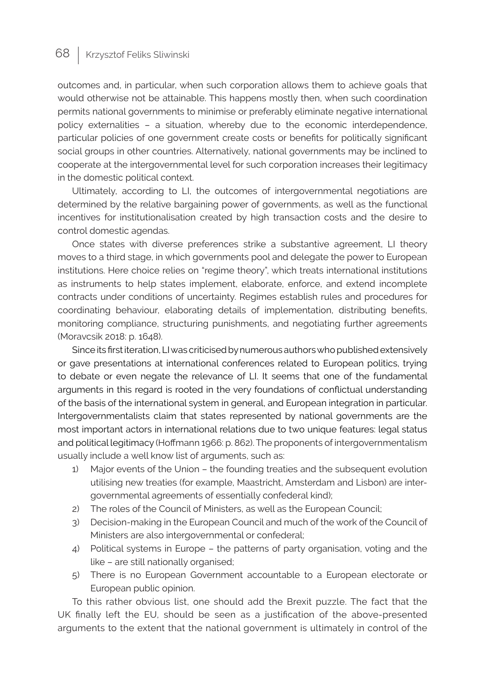outcomes and, in particular, when such corporation allows them to achieve goals that would otherwise not be attainable. This happens mostly then, when such coordination permits national governments to minimise or preferably eliminate negative international policy externalities – a situation, whereby due to the economic interdependence, particular policies of one government create costs or benefits for politically significant social groups in other countries. Alternatively, national governments may be inclined to cooperate at the intergovernmental level for such corporation increases their legitimacy in the domestic political context.

Ultimately, according to LI, the outcomes of intergovernmental negotiations are determined by the relative bargaining power of governments, as well as the functional incentives for institutionalisation created by high transaction costs and the desire to control domestic agendas.

Once states with diverse preferences strike a substantive agreement, LI theory moves to a third stage, in which governments pool and delegate the power to European institutions. Here choice relies on "regime theory", which treats international institutions as instruments to help states implement, elaborate, enforce, and extend incomplete contracts under conditions of uncertainty. Regimes establish rules and procedures for coordinating behaviour, elaborating details of implementation, distributing benefits, monitoring compliance, structuring punishments, and negotiating further agreements (Moravcsik 2018: p. 1648).

Since its first iteration, LI was criticised by numerous authors who published extensively or gave presentations at international conferences related to European politics, trying to debate or even negate the relevance of LI. It seems that one of the fundamental arguments in this regard is rooted in the very foundations of conflictual understanding of the basis of the international system in general, and European integration in particular. Intergovernmentalists claim that states represented by national governments are the most important actors in international relations due to two unique features: legal status and political legitimacy (Hoffmann 1966: p. 862). The proponents of intergovernmentalism usually include a well know list of arguments, such as:

- 1) Major events of the Union the founding treaties and the subsequent evolution utilising new treaties (for example, Maastricht, Amsterdam and Lisbon) are intergovernmental agreements of essentially confederal kind);
- 2) The roles of the Council of Ministers, as well as the European Council;
- 3) Decision-making in the European Council and much of the work of the Council of Ministers are also intergovernmental or confederal;
- 4) Political systems in Europe the patterns of party organisation, voting and the like – are still nationally organised;
- 5) There is no European Government accountable to a European electorate or European public opinion.

To this rather obvious list, one should add the Brexit puzzle. The fact that the UK finally left the EU, should be seen as a justification of the above-presented arguments to the extent that the national government is ultimately in control of the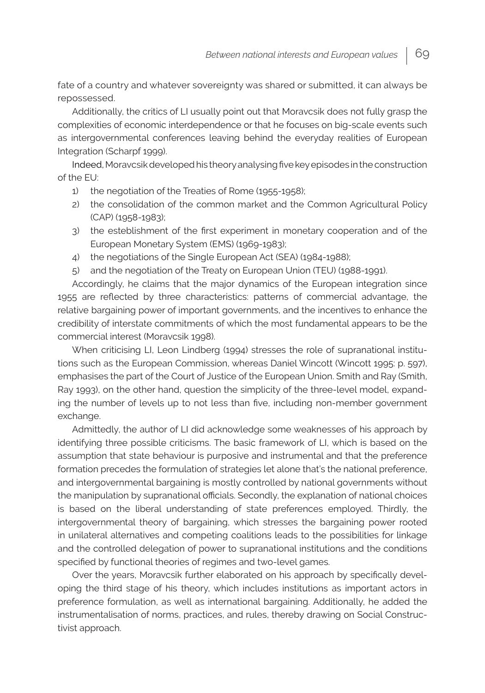fate of a country and whatever sovereignty was shared or submitted, it can always be repossessed.

Additionally, the critics of LI usually point out that Moravcsik does not fully grasp the complexities of economic interdependence or that he focuses on big-scale events such as intergovernmental conferences leaving behind the everyday realities of European Integration (Scharpf 1999).

Indeed, Moravcsik developed his theory analysing five key episodes in the construction of the EU:

- 1) the negotiation of the Treaties of Rome (1955-1958);
- 2) the consolidation of the common market and the Common Agricultural Policy (CAP) (1958-1983);
- 3) the esteblishment of the first experiment in monetary cooperation and of the European Monetary System (EMS) (1969-1983);
- 4) the negotiations of the Single European Act (SEA) (1984-1988);
- 5) and the negotiation of the Treaty on European Union (TEU) (1988-1991).

Accordingly, he claims that the major dynamics of the European integration since 1955 are reflected by three characteristics: patterns of commercial advantage, the relative bargaining power of important governments, and the incentives to enhance the credibility of interstate commitments of which the most fundamental appears to be the commercial interest (Moravcsik 1998).

When criticising LI, Leon Lindberg (1994) stresses the role of supranational institutions such as the European Commission, whereas Daniel Wincott (Wincott 1995: p. 597), emphasises the part of the Court of Justice of the European Union. Smith and Ray (Smith, Ray 1993), on the other hand, question the simplicity of the three-level model, expanding the number of levels up to not less than five, including non-member government exchange.

Admittedly, the author of LI did acknowledge some weaknesses of his approach by identifying three possible criticisms. The basic framework of LI, which is based on the assumption that state behaviour is purposive and instrumental and that the preference formation precedes the formulation of strategies let alone that's the national preference, and intergovernmental bargaining is mostly controlled by national governments without the manipulation by supranational officials. Secondly, the explanation of national choices is based on the liberal understanding of state preferences employed. Thirdly, the intergovernmental theory of bargaining, which stresses the bargaining power rooted in unilateral alternatives and competing coalitions leads to the possibilities for linkage and the controlled delegation of power to supranational institutions and the conditions specified by functional theories of regimes and two-level games.

Over the years, Moravcsik further elaborated on his approach by specifically developing the third stage of his theory, which includes institutions as important actors in preference formulation, as well as international bargaining. Additionally, he added the instrumentalisation of norms, practices, and rules, thereby drawing on Social Constructivist approach.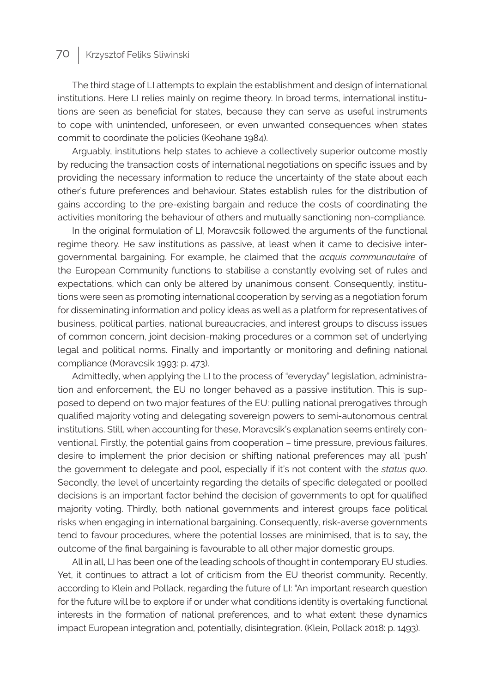The third stage of LI attempts to explain the establishment and design of international institutions. Here LI relies mainly on regime theory. In broad terms, international institutions are seen as beneficial for states, because they can serve as useful instruments to cope with unintended, unforeseen, or even unwanted consequences when states commit to coordinate the policies (Keohane 1984).

Arguably, institutions help states to achieve a collectively superior outcome mostly by reducing the transaction costs of international negotiations on specific issues and by providing the necessary information to reduce the uncertainty of the state about each other's future preferences and behaviour. States establish rules for the distribution of gains according to the pre-existing bargain and reduce the costs of coordinating the activities monitoring the behaviour of others and mutually sanctioning non-compliance.

In the original formulation of LI, Moravcsik followed the arguments of the functional regime theory. He saw institutions as passive, at least when it came to decisive intergovernmental bargaining. For example, he claimed that the *acquis communautaire* of the European Community functions to stabilise a constantly evolving set of rules and expectations, which can only be altered by unanimous consent. Consequently, institutions were seen as promoting international cooperation by serving as a negotiation forum for disseminating information and policy ideas as well as a platform for representatives of business, political parties, national bureaucracies, and interest groups to discuss issues of common concern, joint decision-making procedures or a common set of underlying legal and political norms. Finally and importantly or monitoring and defining national compliance (Moravcsik 1993: p. 473).

Admittedly, when applying the LI to the process of "everyday" legislation, administration and enforcement, the EU no longer behaved as a passive institution. This is supposed to depend on two major features of the EU: pulling national prerogatives through qualified majority voting and delegating sovereign powers to semi-autonomous central institutions. Still, when accounting for these, Moravcsik's explanation seems entirely conventional. Firstly, the potential gains from cooperation – time pressure, previous failures, desire to implement the prior decision or shifting national preferences may all 'push' the government to delegate and pool, especially if it's not content with the *status quo*. Secondly, the level of uncertainty regarding the details of specific delegated or poolled decisions is an important factor behind the decision of governments to opt for qualified majority voting. Thirdly, both national governments and interest groups face political risks when engaging in international bargaining. Consequently, risk-averse governments tend to favour procedures, where the potential losses are minimised, that is to say, the outcome of the final bargaining is favourable to all other major domestic groups.

All in all, LI has been one of the leading schools of thought in contemporary EU studies. Yet, it continues to attract a lot of criticism from the EU theorist community. Recently, according to Klein and Pollack, regarding the future of LI: "An important research question for the future will be to explore if or under what conditions identity is overtaking functional interests in the formation of national preferences, and to what extent these dynamics impact European integration and, potentially, disintegration. (Klein, Pollack 2018: p. 1493).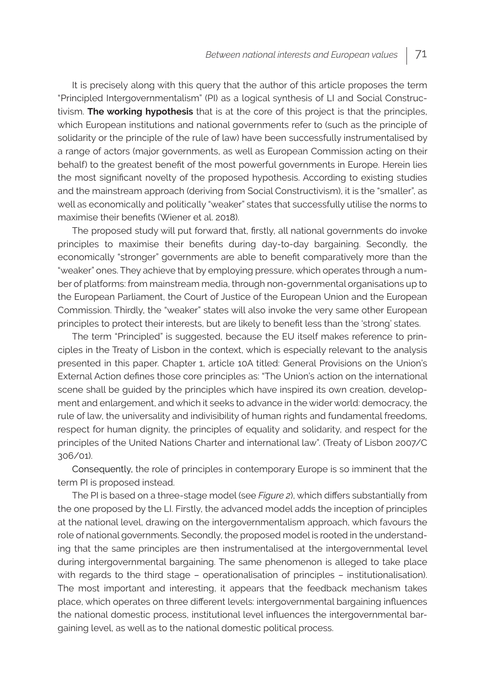It is precisely along with this query that the author of this article proposes the term "Principled Intergovernmentalism" (PI) as a logical synthesis of LI and Social Constructivism. **The working hypothesis** that is at the core of this project is that the principles, which European institutions and national governments refer to (such as the principle of solidarity or the principle of the rule of law) have been successfully instrumentalised by a range of actors (major governments, as well as European Commission acting on their behalf) to the greatest benefit of the most powerful governments in Europe. Herein lies the most significant novelty of the proposed hypothesis. According to existing studies and the mainstream approach (deriving from Social Constructivism), it is the "smaller", as well as economically and politically "weaker" states that successfully utilise the norms to maximise their benefits (Wiener et al. 2018).

The proposed study will put forward that, firstly, all national governments do invoke principles to maximise their benefits during day-to-day bargaining. Secondly, the economically "stronger" governments are able to benefit comparatively more than the "weaker" ones. They achieve that by employing pressure, which operates through a number of platforms: from mainstream media, through non-governmental organisations up to the European Parliament, the Court of Justice of the European Union and the European Commission. Thirdly, the "weaker" states will also invoke the very same other European principles to protect their interests, but are likely to benefit less than the 'strong' states.

The term "Principled" is suggested, because the EU itself makes reference to principles in the Treaty of Lisbon in the context, which is especially relevant to the analysis presented in this paper. Chapter 1, article 10A titled: General Provisions on the Union's External Action defines those core principles as: "The Union's action on the international scene shall be guided by the principles which have inspired its own creation, development and enlargement, and which it seeks to advance in the wider world: democracy, the rule of law, the universality and indivisibility of human rights and fundamental freedoms, respect for human dignity, the principles of equality and solidarity, and respect for the principles of the United Nations Charter and international law". (Treaty of Lisbon 2007/C 306/01).

Consequently, the role of principles in contemporary Europe is so imminent that the term PI is proposed instead.

The PI is based on a three-stage model (see *Figure 2*), which differs substantially from the one proposed by the LI. Firstly, the advanced model adds the inception of principles at the national level, drawing on the intergovernmentalism approach, which favours the role of national governments. Secondly, the proposed model is rooted in the understanding that the same principles are then instrumentalised at the intergovernmental level during intergovernmental bargaining. The same phenomenon is alleged to take place with regards to the third stage – operationalisation of principles – institutionalisation). The most important and interesting, it appears that the feedback mechanism takes place, which operates on three different levels: intergovernmental bargaining influences the national domestic process, institutional level influences the intergovernmental bargaining level, as well as to the national domestic political process.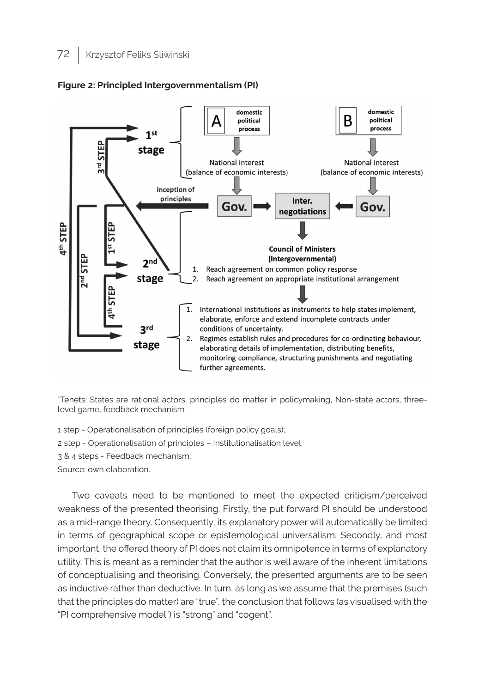



\*Tenets: States are rational actors, principles do matter in policymaking, Non-state actors, threelevel game, feedback mechanism

- 1 step Operationalisation of principles (foreign policy goals);
- 2 step Operationalisation of principles Institutionalisation level;
- 3 & 4 steps Feedback mechanism.

Source: own elaboration.

Two caveats need to be mentioned to meet the expected criticism/perceived weakness of the presented theorising. Firstly, the put forward PI should be understood as a mid-range theory. Consequently, its explanatory power will automatically be limited in terms of geographical scope or epistemological universalism. Secondly, and most important, the offered theory of PI does not claim its omnipotence in terms of explanatory utility. This is meant as a reminder that the author is well aware of the inherent limitations of conceptualising and theorising. Conversely, the presented arguments are to be seen as inductive rather than deductive. In turn, as long as we assume that the premises (such that the principles do matter) are "true", the conclusion that follows (as visualised with the "PI comprehensive model") is "strong" and "cogent".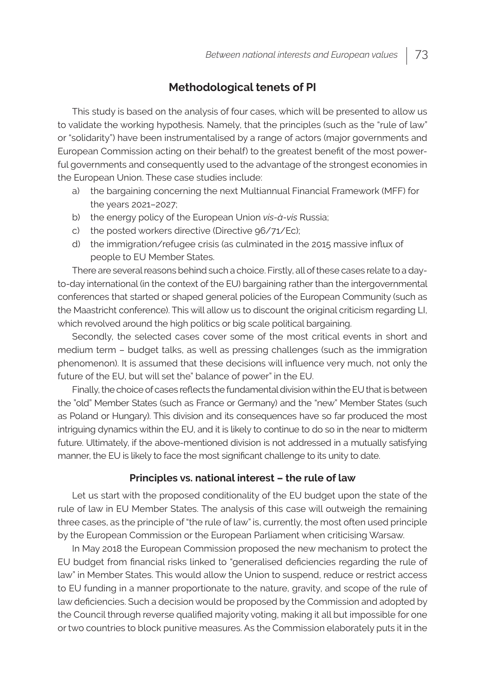### **Methodological tenets of PI**

This study is based on the analysis of four cases, which will be presented to allow us to validate the working hypothesis. Namely, that the principles (such as the "rule of law" or "solidarity") have been instrumentalised by a range of actors (major governments and European Commission acting on their behalf) to the greatest benefit of the most powerful governments and consequently used to the advantage of the strongest economies in the European Union. These case studies include:

- a) the bargaining concerning the next Multiannual Financial Framework (MFF) for the years 2021–2027;
- b) the energy policy of the European Union *vis-à-vis* Russia;
- c) the posted workers directive (Directive 96/71/Ec);
- d) the immigration/refugee crisis (as culminated in the 2015 massive influx of people to EU Member States.

There are several reasons behind such a choice. Firstly, all of these cases relate to a dayto-day international (in the context of the EU) bargaining rather than the intergovernmental conferences that started or shaped general policies of the European Community (such as the Maastricht conference). This will allow us to discount the original criticism regarding LI, which revolved around the high politics or big scale political bargaining.

Secondly, the selected cases cover some of the most critical events in short and medium term – budget talks, as well as pressing challenges (such as the immigration phenomenon). It is assumed that these decisions will influence very much, not only the future of the EU, but will set the" balance of power" in the EU.

Finally, the choice of cases reflects the fundamental division within the EU that is between the "old" Member States (such as France or Germany) and the "new" Member States (such as Poland or Hungary). This division and its consequences have so far produced the most intriguing dynamics within the EU, and it is likely to continue to do so in the near to midterm future. Ultimately, if the above-mentioned division is not addressed in a mutually satisfying manner, the EU is likely to face the most significant challenge to its unity to date.

#### **Principles vs. national interest – the rule of law**

Let us start with the proposed conditionality of the EU budget upon the state of the rule of law in EU Member States. The analysis of this case will outweigh the remaining three cases, as the principle of "the rule of law" is, currently, the most often used principle by the European Commission or the European Parliament when criticising Warsaw.

In May 2018 the European Commission proposed the new mechanism to protect the EU budget from financial risks linked to "generalised deficiencies regarding the rule of law" in Member States. This would allow the Union to suspend, reduce or restrict access to EU funding in a manner proportionate to the nature, gravity, and scope of the rule of law deficiencies. Such a decision would be proposed by the Commission and adopted by the Council through reverse qualified majority voting, making it all but impossible for one or two countries to block punitive measures. As the Commission elaborately puts it in the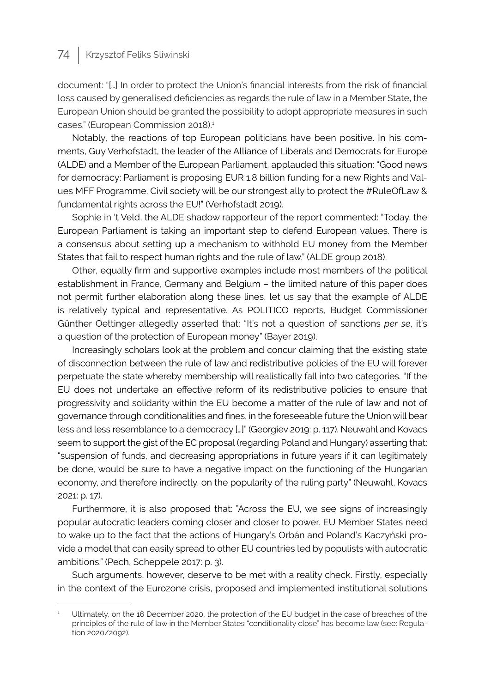document: "[…] In order to protect the Union's financial interests from the risk of financial loss caused by generalised deficiencies as regards the rule of law in a Member State, the European Union should be granted the possibility to adopt appropriate measures in such cases." (European Commission 2018).<sup>1</sup>

Notably, the reactions of top European politicians have been positive. In his comments, Guy Verhofstadt, the leader of the Alliance of Liberals and Democrats for Europe (ALDE) and a Member of the European Parliament, applauded this situation: "Good news for democracy: Parliament is proposing EUR 1.8 billion funding for a new Rights and Values MFF Programme. Civil society will be our strongest ally to protect the #RuleOfLaw & fundamental rights across the EU!" (Verhofstadt 2019).

Sophie in 't Veld, the ALDE shadow rapporteur of the report commented: "Today, the European Parliament is taking an important step to defend European values. There is a consensus about setting up a mechanism to withhold EU money from the Member States that fail to respect human rights and the rule of law." (ALDE group 2018).

Other, equally firm and supportive examples include most members of the political establishment in France, Germany and Belgium – the limited nature of this paper does not permit further elaboration along these lines, let us say that the example of ALDE is relatively typical and representative. As POLITICO reports, Budget Commissioner Günther Oettinger allegedly asserted that: "It's not a question of sanctions *per se*, it's a question of the protection of European money" (Bayer 2019).

Increasingly scholars look at the problem and concur claiming that the existing state of disconnection between the rule of law and redistributive policies of the EU will forever perpetuate the state whereby membership will realistically fall into two categories. "If the EU does not undertake an effective reform of its redistributive policies to ensure that progressivity and solidarity within the EU become a matter of the rule of law and not of governance through conditionalities and fines, in the foreseeable future the Union will bear less and less resemblance to a democracy […]" (Georgiev 2019: p. 117). Neuwahl and Kovacs seem to support the gist of the EC proposal (regarding Poland and Hungary) asserting that: "suspension of funds, and decreasing appropriations in future years if it can legitimately be done, would be sure to have a negative impact on the functioning of the Hungarian economy, and therefore indirectly, on the popularity of the ruling party" (Neuwahl, Kovacs 2021: p. 17).

Furthermore, it is also proposed that: "Across the EU, we see signs of increasingly popular autocratic leaders coming closer and closer to power. EU Member States need to wake up to the fact that the actions of Hungary's Orbán and Poland's Kaczyński provide a model that can easily spread to other EU countries led by populists with autocratic ambitions." (Pech, Scheppele 2017: p. 3).

Such arguments, however, deserve to be met with a reality check. Firstly, especially in the context of the Eurozone crisis, proposed and implemented institutional solutions

Ultimately, on the 16 December 2020, the protection of the EU budget in the case of breaches of the principles of the rule of law in the Member States "conditionality close" has become law (see: Regulation 2020/2092).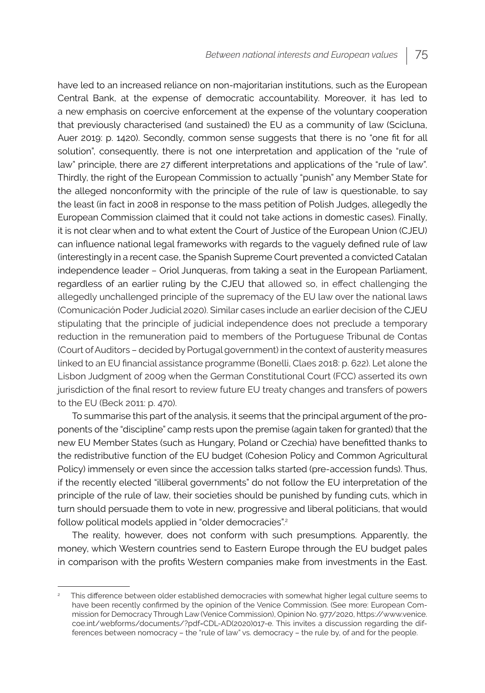have led to an increased reliance on non-majoritarian institutions, such as the European Central Bank, at the expense of democratic accountability. Moreover, it has led to a new emphasis on coercive enforcement at the expense of the voluntary cooperation that previously characterised (and sustained) the EU as a community of law (Scicluna, Auer 2019: p. 1420). Secondly, common sense suggests that there is no "one fit for all solution", consequently, there is not one interpretation and application of the "rule of law" principle, there are 27 different interpretations and applications of the "rule of law". Thirdly, the right of the European Commission to actually "punish" any Member State for the alleged nonconformity with the principle of the rule of law is questionable, to say the least (in fact in 2008 in response to the mass petition of Polish Judges, allegedly the European Commission claimed that it could not take actions in domestic cases). Finally, it is not clear when and to what extent the Court of Justice of the European Union (CJEU) can influence national legal frameworks with regards to the vaguely defined rule of law (interestingly in a recent case, the Spanish Supreme Court prevented a convicted Catalan independence leader – Oriol Junqueras, from taking a seat in the European Parliament, regardless of an earlier ruling by the CJEU that allowed so, in effect challenging the allegedly unchallenged principle of the supremacy of the EU law over the national laws (Comunicación Poder Judicial 2020). Similar cases include an earlier decision of the CJEU stipulating that the principle of judicial independence does not preclude a temporary reduction in the remuneration paid to members of the Portuguese Tribunal de Contas (Court of Auditors – decided by Portugal government) in the context of austerity measures linked to an EU financial assistance programme (Bonelli, Claes 2018: p. 622). Let alone the Lisbon Judgment of 2009 when the German Constitutional Court (FCC) asserted its own jurisdiction of the final resort to review future EU treaty changes and transfers of powers to the EU (Beck 2011: p. 470).

To summarise this part of the analysis, it seems that the principal argument of the proponents of the "discipline" camp rests upon the premise (again taken for granted) that the new EU Member States (such as Hungary, Poland or Czechia) have benefitted thanks to the redistributive function of the EU budget (Cohesion Policy and Common Agricultural Policy) immensely or even since the accession talks started (pre-accession funds). Thus, if the recently elected "illiberal governments" do not follow the EU interpretation of the principle of the rule of law, their societies should be punished by funding cuts, which in turn should persuade them to vote in new, progressive and liberal politicians, that would follow political models applied in "older democracies".<sup>2</sup>

The reality, however, does not conform with such presumptions. Apparently, the money, which Western countries send to Eastern Europe through the EU budget pales in comparison with the profits Western companies make from investments in the East.

<sup>2</sup> This difference between older established democracies with somewhat higher legal culture seems to have been recently confirmed by the opinion of the Venice Commission. (See more: European Commission for Democracy Through Law (Venice Commission), Opinion No. 977/2020, https://www.venice. coe.int/webforms/documents/?pdf=CDL-AD(2020)017-e. This invites a discussion regarding the differences between nomocracy – the "rule of law" vs. democracy – the rule by, of and for the people.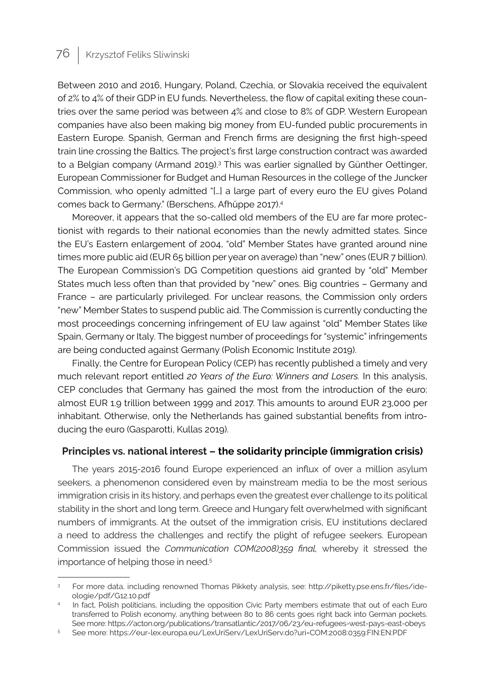Between 2010 and 2016, Hungary, Poland, Czechia, or Slovakia received the equivalent of 2% to 4% of their GDP in EU funds. Nevertheless, the flow of capital exiting these countries over the same period was between 4% and close to 8% of GDP. Western European companies have also been making big money from EU-funded public procurements in Eastern Europe. Spanish, German and French firms are designing the first high-speed train line crossing the Baltics. The project's first large construction contract was awarded to a Belgian company (Armand 2019).<sup>3</sup> This was earlier signalled by Günther Oettinger, European Commissioner for Budget and Human Resources in the college of the Juncker Commission, who openly admitted "[…] a large part of every euro the EU gives Poland comes back to Germany." (Berschens, Afhüppe 2017).<sup>4</sup>

Moreover, it appears that the so-called old members of the EU are far more protectionist with regards to their national economies than the newly admitted states. Since the EU's Eastern enlargement of 2004, "old" Member States have granted around nine times more public aid (EUR 65 billion per year on average) than "new" ones (EUR 7 billion). The European Commission's DG Competition questions aid granted by "old" Member States much less often than that provided by "new" ones. Big countries – Germany and France – are particularly privileged. For unclear reasons, the Commission only orders "new" Member States to suspend public aid. The Commission is currently conducting the most proceedings concerning infringement of EU law against "old" Member States like Spain, Germany or Italy. The biggest number of proceedings for "systemic" infringements are being conducted against Germany (Polish Economic Institute 2019).

Finally, the Centre for European Policy (CEP) has recently published a timely and very much relevant report entitled *20 Years of the Euro: Winners and Losers.* In this analysis, CEP concludes that Germany has gained the most from the introduction of the euro: almost EUR 1.9 trillion between 1999 and 2017. This amounts to around EUR 23,000 per inhabitant. Otherwise, only the Netherlands has gained substantial benefits from introducing the euro (Gasparotti, Kullas 2019).

#### **Principles vs. national interest – the solidarity principle (immigration crisis)**

The years 2015-2016 found Europe experienced an influx of over a million asylum seekers, a phenomenon considered even by mainstream media to be the most serious immigration crisis in its history, and perhaps even the greatest ever challenge to its political stability in the short and long term. Greece and Hungary felt overwhelmed with significant numbers of immigrants. At the outset of the immigration crisis, EU institutions declared a need to address the challenges and rectify the plight of refugee seekers. European Commission issued the *Communication COM(2008)359 final,* whereby it stressed the importance of helping those in need.<sup>5</sup>

<sup>3</sup> For more data, including renowned Thomas Pikkety analysis, see: http://piketty.pse.ens.fr/files/ideologie/pdf/G12.10.pdf

<sup>4</sup> In fact, Polish politicians, including the opposition Civic Party members estimate that out of each Euro transferred to Polish economy, anything between 80 to 86 cents goes right back into German pockets. See more: https://acton.org/publications/transatlantic/2017/06/23/eu-refugees-west-pays-east-obeys

<sup>5</sup> See more: https://eur-lex.europa.eu/LexUriServ/LexUriServ.do?uri=COM:2008:0359:FIN:EN:PDF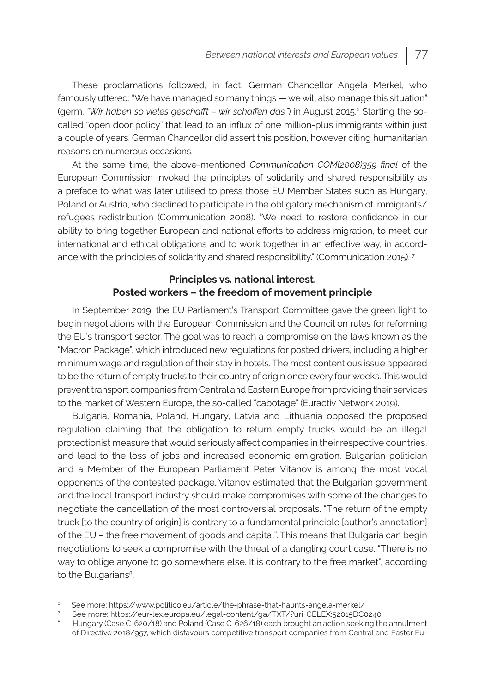These proclamations followed, in fact, German Chancellor Angela Merkel, who famously uttered: "We have managed so many things — we will also manage this situation" (germ. "Wir haben so vieles geschafft – wir schaffen das.") in August 2015.<sup>6</sup> Starting the socalled "open door policy" that lead to an influx of one million-plus immigrants within just a couple of years. German Chancellor did assert this position, however citing humanitarian reasons on numerous occasions.

At the same time, the above-mentioned *Communication COM(2008)359 final* of the European Commission invoked the principles of solidarity and shared responsibility as a preface to what was later utilised to press those EU Member States such as Hungary, Poland or Austria, who declined to participate in the obligatory mechanism of immigrants/ refugees redistribution (Communication 2008). "We need to restore confidence in our ability to bring together European and national efforts to address migration, to meet our international and ethical obligations and to work together in an effective way, in accordance with the principles of solidarity and shared responsibility." (Communication 2015). <sup>7</sup>

### **Principles vs. national interest. Posted workers – the freedom of movement principle**

In September 2019, the EU Parliament's Transport Committee gave the green light to begin negotiations with the European Commission and the Council on rules for reforming the EU's transport sector. The goal was to reach a compromise on the laws known as the "Macron Package", which introduced new regulations for posted drivers, including a higher minimum wage and regulation of their stay in hotels. The most contentious issue appeared to be the return of empty trucks to their country of origin once every four weeks. This would prevent transport companies from Central and Eastern Europe from providing their services to the market of Western Europe, the so-called "cabotage" (Euractiv Network 2019).

Bulgaria, Romania, Poland, Hungary, Latvia and Lithuania opposed the proposed regulation claiming that the obligation to return empty trucks would be an illegal protectionist measure that would seriously affect companies in their respective countries, and lead to the loss of jobs and increased economic emigration. Bulgarian politician and a Member of the European Parliament Peter Vitanov is among the most vocal opponents of the contested package. Vitanov estimated that the Bulgarian government and the local transport industry should make compromises with some of the changes to negotiate the cancellation of the most controversial proposals. "The return of the empty truck [to the country of origin] is contrary to a fundamental principle [author's annotation] of the EU – the free movement of goods and capital". This means that Bulgaria can begin negotiations to seek a compromise with the threat of a dangling court case. "There is no way to oblige anyone to go somewhere else. It is contrary to the free market", according to the Bulgarians<sup>8</sup>.

See more: https://www.politico.eu/article/the-phrase-that-haunts-angela-merkel/

<sup>7</sup> See more: https://eur-lex.europa.eu/legal-content/ga/TXT/?uri=CELEX:52015DC0240

<sup>8</sup> Hungary (Case C-620/18) and Poland (Case C-626/18) each brought an action seeking the annulment of Directive 2018/957, which disfavours competitive transport companies from Central and Easter Eu-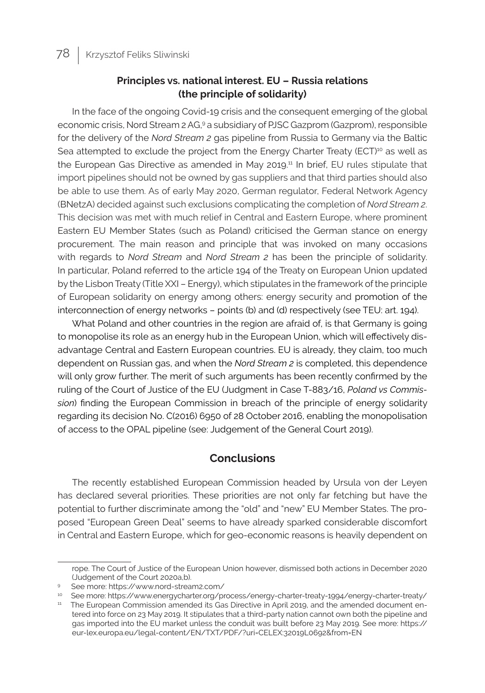### **Principles vs. national interest. EU – Russia relations (the principle of solidarity)**

In the face of the ongoing Covid-19 crisis and the consequent emerging of the global economic crisis, Nord Stream 2 AG,9 a subsidiary of PJSC Gazprom (Gazprom), responsible for the delivery of the *Nord Stream 2* gas pipeline from Russia to Germany via the Baltic Sea attempted to exclude the project from the Energy Charter Treaty ( $ECT$ )<sup>10</sup> as well as the European Gas Directive as amended in May 2019.<sup>11</sup> In brief, EU rules stipulate that import pipelines should not be owned by gas suppliers and that third parties should also be able to use them. As of early May 2020, German regulator, Federal Network Agency (BNetzA) decided against such exclusions complicating the completion of *Nord Stream 2*. This decision was met with much relief in Central and Eastern Europe, where prominent Eastern EU Member States (such as Poland) criticised the German stance on energy procurement. The main reason and principle that was invoked on many occasions with regards to *Nord Stream* and *Nord Stream 2* has been the principle of solidarity. In particular, Poland referred to the article 194 of the Treaty on European Union updated by the Lisbon Treaty (Title XXI – Energy), which stipulates in the framework of the principle of European solidarity on energy among others: energy security and promotion of the interconnection of energy networks – points (b) and (d) respectively (see TEU: art. 194).

What Poland and other countries in the region are afraid of, is that Germany is going to monopolise its role as an energy hub in the European Union, which will effectively disadvantage Central and Eastern European countries. EU is already, they claim, too much dependent on Russian gas, and when the *Nord Stream 2* is completed, this dependence will only grow further. The merit of such arguments has been recently confirmed by the ruling of the Court of Justice of the EU (Judgment in Case T-883/16, *Poland vs Commission*) finding the European Commission in breach of the principle of energy solidarity regarding its decision No. C(2016) 6950 of 28 October 2016, enabling the monopolisation of access to the OPAL pipeline (see: Judgement of the General Court 2019).

### **Conclusions**

The recently established European Commission headed by Ursula von der Leyen has declared several priorities. These priorities are not only far fetching but have the potential to further discriminate among the "old" and "new" EU Member States. The proposed "European Green Deal" seems to have already sparked considerable discomfort in Central and Eastern Europe, which for geo-economic reasons is heavily dependent on

rope. The Court of Justice of the European Union however, dismissed both actions in December 2020 (Judgement of the Court 2020a,b).

<sup>9</sup> See more: https://www.nord-stream2.com/

<sup>10</sup> See more: https://www.energycharter.org/process/energy-charter-treaty-1994/energy-charter-treaty/

<sup>&</sup>lt;sup>11</sup> The European Commission amended its Gas Directive in April 2019, and the amended document entered into force on 23 May 2019. It stipulates that a third-party nation cannot own both the pipeline and gas imported into the EU market unless the conduit was built before 23 May 2019. See more: https:// eur-lex.europa.eu/legal-content/EN/TXT/PDF/?uri=CELEX:32019L0692&from=EN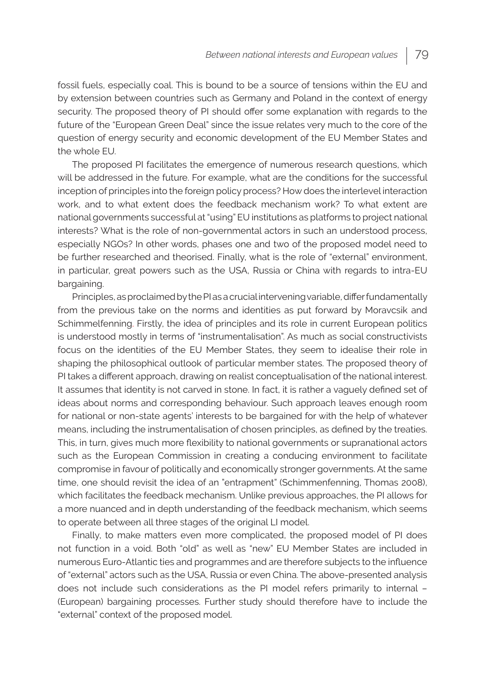fossil fuels, especially coal. This is bound to be a source of tensions within the EU and by extension between countries such as Germany and Poland in the context of energy security. The proposed theory of PI should offer some explanation with regards to the future of the "European Green Deal" since the issue relates very much to the core of the question of energy security and economic development of the EU Member States and the whole EU.

The proposed PI facilitates the emergence of numerous research questions, which will be addressed in the future. For example, what are the conditions for the successful inception of principles into the foreign policy process? How does the interlevel interaction work, and to what extent does the feedback mechanism work? To what extent are national governments successful at "using" EU institutions as platforms to project national interests? What is the role of non-governmental actors in such an understood process, especially NGOs? In other words, phases one and two of the proposed model need to be further researched and theorised. Finally, what is the role of "external" environment, in particular, great powers such as the USA, Russia or China with regards to intra-EU bargaining.

Principles, as proclaimed by the PI as a crucial intervening variable, differ fundamentally from the previous take on the norms and identities as put forward by Moravcsik and Schimmelfenning. Firstly, the idea of principles and its role in current European politics is understood mostly in terms of "instrumentalisation". As much as social constructivists focus on the identities of the EU Member States, they seem to idealise their role in shaping the philosophical outlook of particular member states. The proposed theory of PI takes a different approach, drawing on realist conceptualisation of the national interest. It assumes that identity is not carved in stone. In fact, it is rather a vaguely defined set of ideas about norms and corresponding behaviour. Such approach leaves enough room for national or non-state agents' interests to be bargained for with the help of whatever means, including the instrumentalisation of chosen principles, as defined by the treaties. This, in turn, gives much more flexibility to national governments or supranational actors such as the European Commission in creating a conducing environment to facilitate compromise in favour of politically and economically stronger governments. At the same time, one should revisit the idea of an "entrapment" (Schimmenfenning, Thomas 2008), which facilitates the feedback mechanism. Unlike previous approaches, the PI allows for a more nuanced and in depth understanding of the feedback mechanism, which seems to operate between all three stages of the original LI model.

Finally, to make matters even more complicated, the proposed model of PI does not function in a void. Both "old" as well as "new" EU Member States are included in numerous Euro-Atlantic ties and programmes and are therefore subjects to the influence of "external" actors such as the USA, Russia or even China. The above-presented analysis does not include such considerations as the PI model refers primarily to internal – (European) bargaining processes. Further study should therefore have to include the "external" context of the proposed model.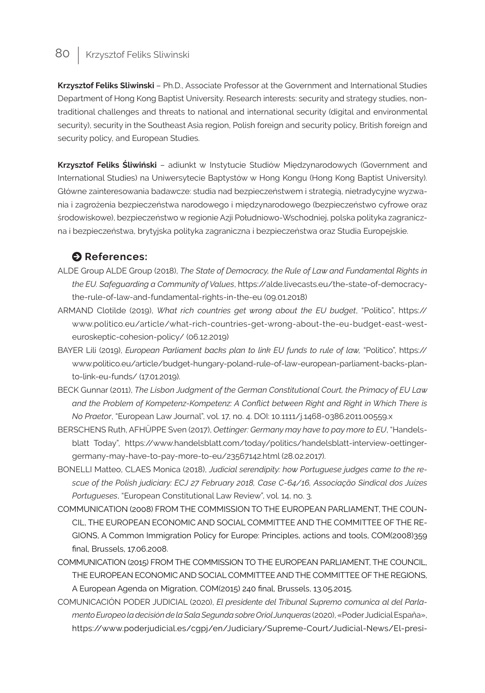**Krzysztof Feliks Sliwinski** – Ph.D., Associate Professor at the Government and International Studies Department of Hong Kong Baptist University. Research interests: security and strategy studies, nontraditional challenges and threats to national and international security (digital and environmental security), security in the Southeast Asia region, Polish foreign and security policy, British foreign and security policy, and European Studies.

**Krzysztof Feliks Śliwiński** – adiunkt w Instytucie Studiów Międzynarodowych (Government and International Studies) na Uniwersytecie Baptystów w Hong Kongu (Hong Kong Baptist University). Główne zainteresowania badawcze: studia nad bezpieczeństwem i strategią, nietradycyjne wyzwania i zagrożenia bezpieczeństwa narodowego i międzynarodowego (bezpieczeństwo cyfrowe oraz środowiskowe), bezpieczeństwo w regionie Azji Południowo-Wschodniej, polska polityka zagraniczna i bezpieczeństwa, brytyjska polityka zagraniczna i bezpieczeństwa oraz Studia Europejskie.

### $\bullet$  References:

- ALDE Group ALDE Group (2018), *The State of Democracy, the Rule of Law and Fundamental Rights in the EU. Safeguarding a Community of Values*, https://alde.livecasts.eu/the-state-of-democracythe-rule-of-law-and-fundamental-rights-in-the-eu (09.01.2018)
- ARMAND Clotilde (2019), *What rich countries get wrong about the EU budget*, "Politico", https:// www.politico.eu/article/what-rich-countries-get-wrong-about-the-eu-budget-east-westeuroskeptic-cohesion-policy/ (06.12.2019)
- BAYER Lili (2019), *European Parliament backs plan to link EU funds to rule of law, "Politico", https://* www.politico.eu/article/budget-hungary-poland-rule-of-law-european-parliament-backs-planto-link-eu-funds/ (17.01.2019).
- BECK Gunnar (2011), *The Lisbon Judgment of the German Constitutional Court, the Primacy of EU Law and the Problem of Kompetenz-Kompetenz: A Conflict between Right and Right in Which There is No Praetor*, "European Law Journal", vol. 17, no. 4. DOI: 10.1111/j.1468-0386.2011.00559.x
- BERSCHENS Ruth, AFHÜPPE Sven (2017), *Oettinger: Germany may have to pay more to EU*, "Handelsblatt Today", https://www.handelsblatt.com/today/politics/handelsblatt-interview-oettingergermany-may-have-to-pay-more-to-eu/23567142.html (28.02.2017).
- BONELLI Matteo, CLAES Monica (2018), *Judicial serendipity: how Portuguese judges came to the rescue of the Polish judiciary: ECJ 27 February 2018, Case C-64/16, Associação Sindical dos Juízes Portugueses*, "European Constitutional Law Review", vol. 14, no. 3.
- COMMUNICATION (2008) FROM THE COMMISSION TO THE EUROPEAN PARLIAMENT, THE COUN-CIL, THE EUROPEAN ECONOMIC AND SOCIAL COMMITTEE AND THE COMMITTEE OF THE RE-GIONS, A Common Immigration Policy for Europe: Principles, actions and tools, COM(2008)359 final, Brussels, 17.06.2008.
- COMMUNICATION (2015) FROM THE COMMISSION TO THE EUROPEAN PARLIAMENT, THE COUNCIL, THE EUROPEAN ECONOMIC AND SOCIAL COMMITTEE AND THE COMMITTEE OF THE REGIONS, A European Agenda on Migration, COM(2015) 240 final, Brussels, 13.05.2015.
- COMUNICACIÓN PODER JUDICIAL (2020), *El presidente del Tribunal Supremo comunica al del Parlamento Europeo la decisión de la Sala Segunda sobre Oriol Junqueras* (2020), «Poder Judicial Espaňa», https://www.poderjudicial.es/cgpj/en/Judiciary/Supreme-Court/Judicial-News/El-presi-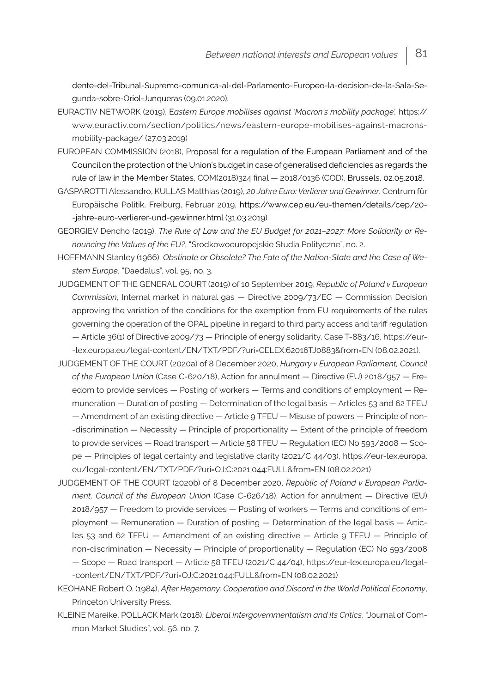dente-del-Tribunal-Supremo-comunica-al-del-Parlamento-Europeo-la-decision-de-la-Sala-Segunda-sobre-Oriol-Junqueras (09.01.2020).

- EURACTIV NETWORK (2019), E*astern Europe mobilises against 'Macron's mobility package',* https:// www.euractiv.com/section/politics/news/eastern-europe-mobilises-against-macronsmobility-package/ (27.03.2019)
- EUROPEAN COMMISSION (2018), Proposal for a regulation of the European Parliament and of the Council on the protection of the Union's budget in case of generalised deficiencies as regards the rule of law in the Member States, COM(2018)324 final — 2018/0136 (COD), Brussels, 02.05.2018.
- GASPAROTTI Alessandro, KULLAS Matthias (2019), *20 Jahre Euro: Verlierer und Gewinner,* Centrum für Europäische Politik, Freiburg, Februar 2019, https://www.cep.eu/eu-themen/details/cep/20- -jahre-euro-verlierer-und-gewinner.html (31.03.2019)
- GEORGIEV Dencho (2019), *The Rule of Law and the EU Budget for 2021–2027: More Solidarity or Renouncing the Values of the EU?*, "Środkowoeuropejskie Studia Polityczne", no. 2.
- HOFFMANN Stanley (1966), *Obstinate or Obsolete? The Fate of the Nation-State and the Case of Western Europe*, "Daedalus", vol. 95, no. 3.
- JUDGEMENT OF THE GENERAL COURT (2019) of 10 September 2019, *Republic of Poland v European Commission*, Internal market in natural gas — Directive 2009/73/EC — Commission Decision approving the variation of the conditions for the exemption from EU requirements of the rules governing the operation of the OPAL pipeline in regard to third party access and tariff regulation — Article 36(1) of Directive 2009/73 — Principle of energy solidarity, Case T-883/16, https://eur- -lex.europa.eu/legal-content/EN/TXT/PDF/?uri=CELEX:62016TJ0883&from=EN (08.02.2021).
- JUDGEMENT OF THE COURT (2020a) of 8 December 2020, *Hungary v European Parliament, Council of the European Union* (Case C-620/18), Action for annulment — Directive (EU) 2018/957 — Freedom to provide services — Posting of workers — Terms and conditions of employment — Remuneration — Duration of posting — Determination of the legal basis — Articles 53 and 62 TFEU — Amendment of an existing directive — Article 9 TFEU — Misuse of powers — Principle of non- -discrimination — Necessity — Principle of proportionality — Extent of the principle of freedom to provide services — Road transport — Article 58 TFEU — Regulation (EC) No 593/2008 — Scope — Principles of legal certainty and legislative clarity (2021/C 44/03), https://eur-lex.europa. eu/legal-content/EN/TXT/PDF/?uri=OJ:C:2021:044:FULL&from=EN (08.02.2021)
- JUDGEMENT OF THE COURT (2020b) of 8 December 2020, *Republic of Poland v European Parliament, Council of the European Union* (Case C-626/18), Action for annulment — Directive (EU) 2018/957 — Freedom to provide services — Posting of workers — Terms and conditions of employment — Remuneration — Duration of posting — Determination of the legal basis — Articles 53 and 62 TFEU — Amendment of an existing directive — Article 9 TFEU — Principle of non-discrimination — Necessity — Principle of proportionality — Regulation (EC) No 593/2008 — Scope — Road transport — Article 58 TFEU (2021/C 44/04), https://eur-lex.europa.eu/legal- -content/EN/TXT/PDF/?uri=OJ:C:2021:044:FULL&from=EN (08.02.2021)
- KEOHANE Robert O. (1984), *After Hegemony: Cooperation and Discord in the World Political Economy*, Princeton University Press.
- KLEINE Mareike, POLLACK Mark (2018), *Liberal Intergovernmentalism and Its Critics*, "Journal of Common Market Studies", vol. 56. no. 7.